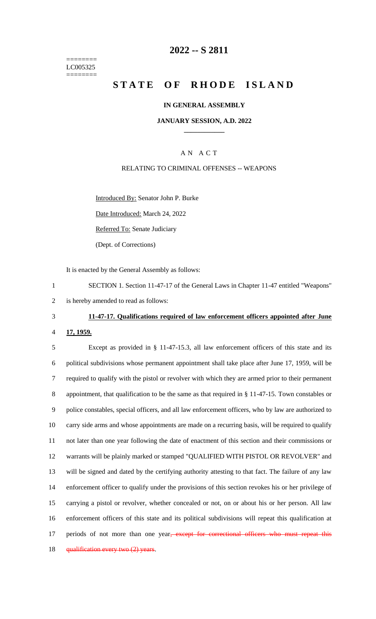======== LC005325 ========

# **2022 -- S 2811**

# **STATE OF RHODE ISLAND**

### **IN GENERAL ASSEMBLY**

### **JANUARY SESSION, A.D. 2022 \_\_\_\_\_\_\_\_\_\_\_\_**

## A N A C T

### RELATING TO CRIMINAL OFFENSES -- WEAPONS

Introduced By: Senator John P. Burke

Date Introduced: March 24, 2022

Referred To: Senate Judiciary

(Dept. of Corrections)

It is enacted by the General Assembly as follows:

1 SECTION 1. Section 11-47-17 of the General Laws in Chapter 11-47 entitled "Weapons" 2 is hereby amended to read as follows:

# 3 **11-47-17. Qualifications required of law enforcement officers appointed after June**

#### 4 **17, 1959.**

 Except as provided in § 11-47-15.3, all law enforcement officers of this state and its political subdivisions whose permanent appointment shall take place after June 17, 1959, will be required to qualify with the pistol or revolver with which they are armed prior to their permanent appointment, that qualification to be the same as that required in § 11-47-15. Town constables or police constables, special officers, and all law enforcement officers, who by law are authorized to carry side arms and whose appointments are made on a recurring basis, will be required to qualify not later than one year following the date of enactment of this section and their commissions or warrants will be plainly marked or stamped "QUALIFIED WITH PISTOL OR REVOLVER" and will be signed and dated by the certifying authority attesting to that fact. The failure of any law enforcement officer to qualify under the provisions of this section revokes his or her privilege of carrying a pistol or revolver, whether concealed or not, on or about his or her person. All law enforcement officers of this state and its political subdivisions will repeat this qualification at 17 periods of not more than one year, except for correctional officers who must repeat this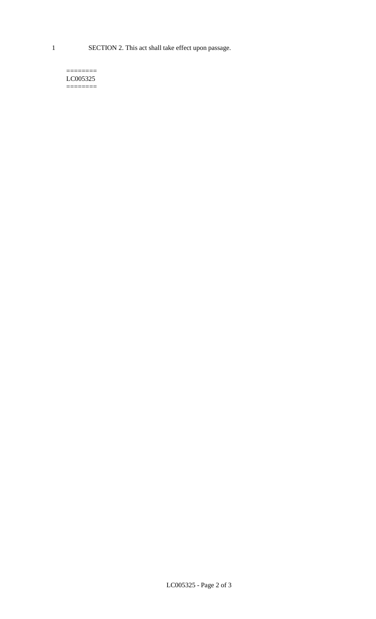1 SECTION 2. This act shall take effect upon passage.